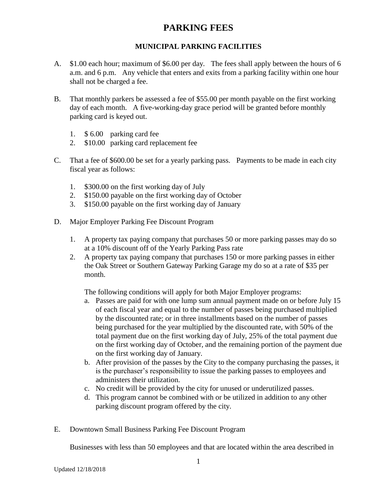### **MUNICIPAL PARKING FACILITIES**

- A. \$1.00 each hour; maximum of \$6.00 per day. The fees shall apply between the hours of 6 a.m. and 6 p.m. Any vehicle that enters and exits from a parking facility within one hour shall not be charged a fee.
- B. That monthly parkers be assessed a fee of \$55.00 per month payable on the first working day of each month. A five-working-day grace period will be granted before monthly parking card is keyed out.
	- 1. \$ 6.00 parking card fee
	- 2. \$10.00 parking card replacement fee
- C. That a fee of \$600.00 be set for a yearly parking pass. Payments to be made in each city fiscal year as follows:
	- 1. \$300.00 on the first working day of July
	- 2. \$150.00 payable on the first working day of October
	- 3. \$150.00 payable on the first working day of January
- D. Major Employer Parking Fee Discount Program
	- 1. A property tax paying company that purchases 50 or more parking passes may do so at a 10% discount off of the Yearly Parking Pass rate
	- 2. A property tax paying company that purchases 150 or more parking passes in either the Oak Street or Southern Gateway Parking Garage my do so at a rate of \$35 per month.

The following conditions will apply for both Major Employer programs:

- a. Passes are paid for with one lump sum annual payment made on or before July 15 of each fiscal year and equal to the number of passes being purchased multiplied by the discounted rate; or in three installments based on the number of passes being purchased for the year multiplied by the discounted rate, with 50% of the total payment due on the first working day of July, 25% of the total payment due on the first working day of October, and the remaining portion of the payment due on the first working day of January.
- b. After provision of the passes by the City to the company purchasing the passes, it is the purchaser's responsibility to issue the parking passes to employees and administers their utilization.
- c. No credit will be provided by the city for unused or underutilized passes.
- d. This program cannot be combined with or be utilized in addition to any other parking discount program offered by the city.
- E. Downtown Small Business Parking Fee Discount Program

Businesses with less than 50 employees and that are located within the area described in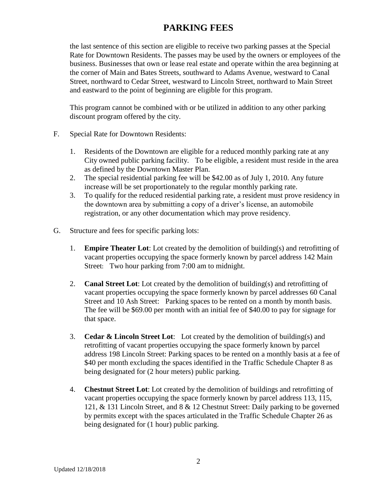the last sentence of this section are eligible to receive two parking passes at the Special Rate for Downtown Residents. The passes may be used by the owners or employees of the business. Businesses that own or lease real estate and operate within the area beginning at the corner of Main and Bates Streets, southward to Adams Avenue, westward to Canal Street, northward to Cedar Street, westward to Lincoln Street, northward to Main Street and eastward to the point of beginning are eligible for this program.

This program cannot be combined with or be utilized in addition to any other parking discount program offered by the city.

- F. Special Rate for Downtown Residents:
	- 1. Residents of the Downtown are eligible for a reduced monthly parking rate at any City owned public parking facility. To be eligible, a resident must reside in the area as defined by the Downtown Master Plan.
	- 2. The special residential parking fee will be \$42.00 as of July 1, 2010. Any future increase will be set proportionately to the regular monthly parking rate.
	- 3. To qualify for the reduced residential parking rate, a resident must prove residency in the downtown area by submitting a copy of a driver's license, an automobile registration, or any other documentation which may prove residency.
- G. Structure and fees for specific parking lots:
	- 1. **Empire Theater Lot**: Lot created by the demolition of building(s) and retrofitting of vacant properties occupying the space formerly known by parcel address 142 Main Street: Two hour parking from 7:00 am to midnight.
	- 2. **Canal Street Lot**: Lot created by the demolition of building(s) and retrofitting of vacant properties occupying the space formerly known by parcel addresses 60 Canal Street and 10 Ash Street: Parking spaces to be rented on a month by month basis. The fee will be \$69.00 per month with an initial fee of \$40.00 to pay for signage for that space.
	- 3. **Cedar & Lincoln Street Lot**: Lot created by the demolition of building(s) and retrofitting of vacant properties occupying the space formerly known by parcel address 198 Lincoln Street: Parking spaces to be rented on a monthly basis at a fee of \$40 per month excluding the spaces identified in the Traffic Schedule Chapter 8 as being designated for (2 hour meters) public parking.
	- 4. **Chestnut Street Lot**: Lot created by the demolition of buildings and retrofitting of vacant properties occupying the space formerly known by parcel address 113, 115, 121, & 131 Lincoln Street, and 8 & 12 Chestnut Street: Daily parking to be governed by permits except with the spaces articulated in the Traffic Schedule Chapter 26 as being designated for (1 hour) public parking.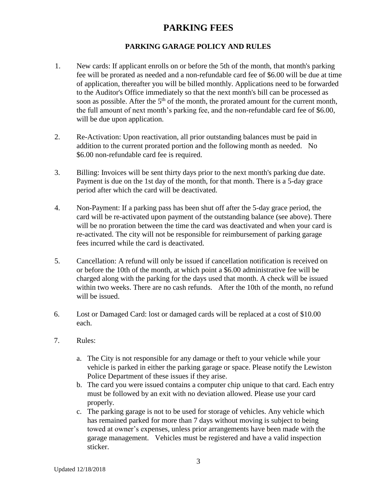### **PARKING GARAGE POLICY AND RULES**

- 1. New cards: If applicant enrolls on or before the 5th of the month, that month's parking fee will be prorated as needed and a non-refundable card fee of \$6.00 will be due at time of application, thereafter you will be billed monthly. Applications need to be forwarded to the Auditor's Office immediately so that the next month's bill can be processed as soon as possible. After the  $5<sup>th</sup>$  of the month, the prorated amount for the current month, the full amount of next month's parking fee, and the non-refundable card fee of \$6.00, will be due upon application.
- 2. Re-Activation: Upon reactivation, all prior outstanding balances must be paid in addition to the current prorated portion and the following month as needed. No \$6.00 non-refundable card fee is required.
- 3. Billing: Invoices will be sent thirty days prior to the next month's parking due date. Payment is due on the 1st day of the month, for that month. There is a 5-day grace period after which the card will be deactivated.
- 4. Non-Payment: If a parking pass has been shut off after the 5-day grace period, the card will be re-activated upon payment of the outstanding balance (see above). There will be no proration between the time the card was deactivated and when your card is re-activated. The city will not be responsible for reimbursement of parking garage fees incurred while the card is deactivated.
- 5. Cancellation: A refund will only be issued if cancellation notification is received on or before the 10th of the month, at which point a \$6.00 administrative fee will be charged along with the parking for the days used that month. A check will be issued within two weeks. There are no cash refunds. After the 10th of the month, no refund will be issued.
- 6. Lost or Damaged Card: lost or damaged cards will be replaced at a cost of \$10.00 each.
- 7. Rules:
	- a. The City is not responsible for any damage or theft to your vehicle while your vehicle is parked in either the parking garage or space. Please notify the Lewiston Police Department of these issues if they arise.
	- b. The card you were issued contains a computer chip unique to that card. Each entry must be followed by an exit with no deviation allowed. Please use your card properly.
	- c. The parking garage is not to be used for storage of vehicles. Any vehicle which has remained parked for more than 7 days without moving is subject to being towed at owner's expenses, unless prior arrangements have been made with the garage management. Vehicles must be registered and have a valid inspection sticker.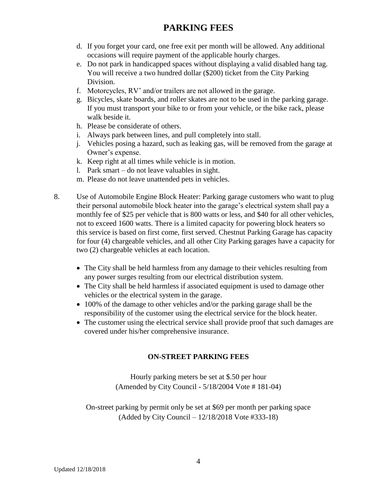- d. If you forget your card, one free exit per month will be allowed. Any additional occasions will require payment of the applicable hourly charges.
- e. Do not park in handicapped spaces without displaying a valid disabled hang tag. You will receive a two hundred dollar (\$200) ticket from the City Parking Division.
- f. Motorcycles, RV' and/or trailers are not allowed in the garage.
- g. Bicycles, skate boards, and roller skates are not to be used in the parking garage. If you must transport your bike to or from your vehicle, or the bike rack, please walk beside it.
- h. Please be considerate of others.
- i. Always park between lines, and pull completely into stall.
- j. Vehicles posing a hazard, such as leaking gas, will be removed from the garage at Owner's expense.
- k. Keep right at all times while vehicle is in motion.
- l. Park smart do not leave valuables in sight.
- m. Please do not leave unattended pets in vehicles.
- 8. Use of Automobile Engine Block Heater: Parking garage customers who want to plug their personal automobile block heater into the garage's electrical system shall pay a monthly fee of \$25 per vehicle that is 800 watts or less, and \$40 for all other vehicles, not to exceed 1600 watts. There is a limited capacity for powering block heaters so this service is based on first come, first served. Chestnut Parking Garage has capacity for four (4) chargeable vehicles, and all other City Parking garages have a capacity for two (2) chargeable vehicles at each location.
	- The City shall be held harmless from any damage to their vehicles resulting from any power surges resulting from our electrical distribution system.
	- The City shall be held harmless if associated equipment is used to damage other vehicles or the electrical system in the garage.
	- 100% of the damage to other vehicles and/or the parking garage shall be the responsibility of the customer using the electrical service for the block heater.
	- The customer using the electrical service shall provide proof that such damages are covered under his/her comprehensive insurance.

### **ON-STREET PARKING FEES**

Hourly parking meters be set at \$.50 per hour (Amended by City Council - 5/18/2004 Vote # 181-04)

On-street parking by permit only be set at \$69 per month per parking space (Added by City Council – 12/18/2018 Vote #333-18)